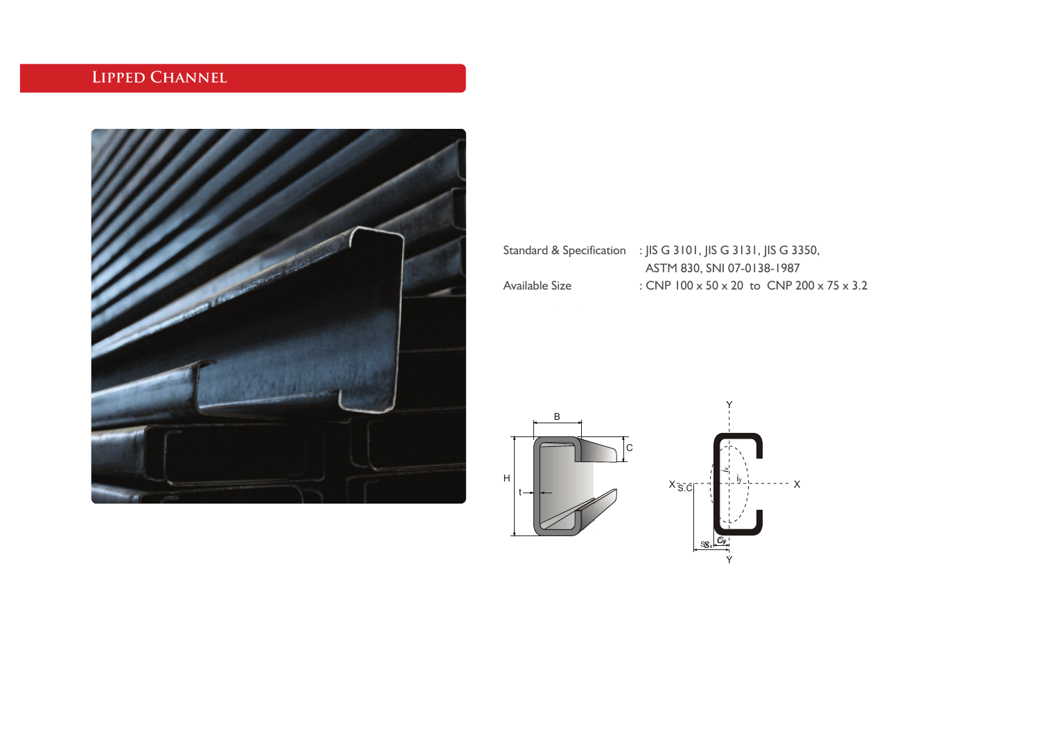## **Lipped Channel**



|                | Standard & Specification : JIS G 3101, JIS G 3131, JIS G 3350,    |
|----------------|-------------------------------------------------------------------|
|                | ASTM 830, SNI 07-0138-1987                                        |
| Available Size | : CNP $100 \times 50 \times 20$ to CNP $200 \times 75 \times 3.2$ |

 $--- x$ 

Y

*ix* iy *Cy Sx* Cy Sx  $X_{S.C}^{-1}$ Y B C H t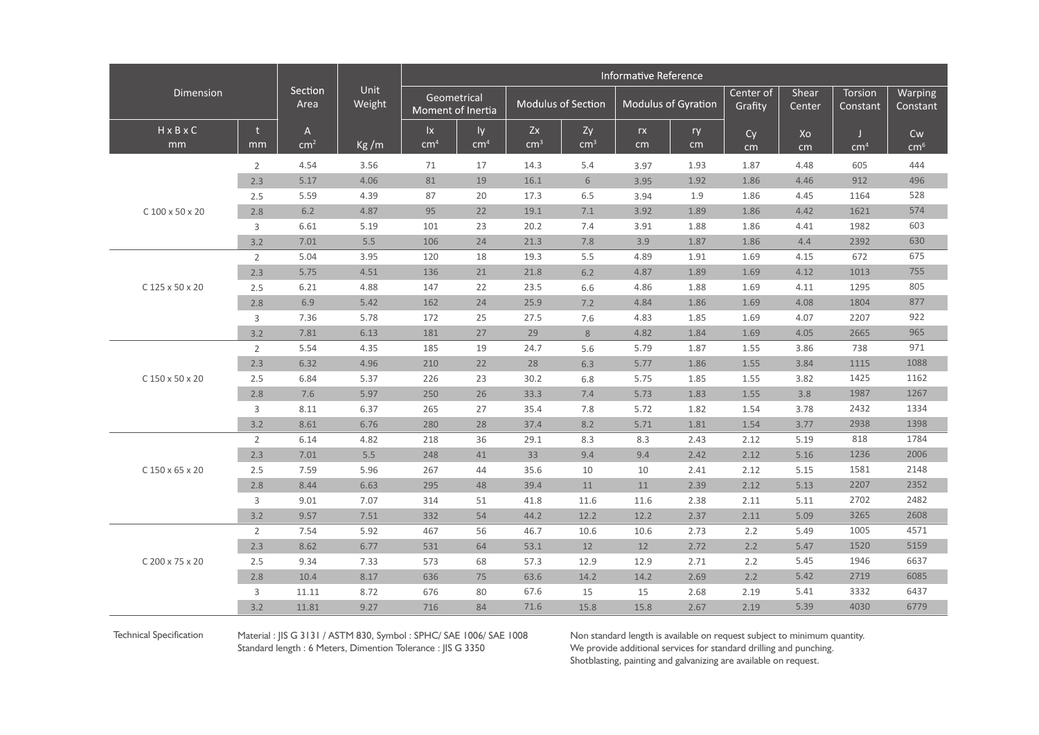| Dimension             |                |                 | Unit<br>Weight | Informative Reference            |                 |                    |               |                     |      |                      |                 |                     |                     |  |
|-----------------------|----------------|-----------------|----------------|----------------------------------|-----------------|--------------------|---------------|---------------------|------|----------------------|-----------------|---------------------|---------------------|--|
|                       |                | Section<br>Area |                | Geometrical<br>Moment of Inertia |                 | Modulus of Section |               | Modulus of Gyration |      | Center of<br>Grafity | Shear<br>Center | Torsion<br>Constant | Warping<br>Constant |  |
| $H \times B \times C$ | t              | $\mathsf{A}$    |                | $\mathsf{I}\mathsf{x}$           | ly.             | Zx                 | Zy            | rx                  | ry   | Cy                   | Xo              | H.                  | Cw                  |  |
| mm                    | mm             | cm <sup>2</sup> | Kg/m           | cm <sup>4</sup>                  | cm <sup>4</sup> | cm <sup>3</sup>    | $\text{cm}^3$ | cm                  | cm   | cm                   | cm              | cm <sup>4</sup>     | cm <sup>6</sup>     |  |
|                       | $\overline{2}$ | 4.54            | 3.56           | 71                               | 17              | 14.3               | 5.4           | 3.97                | 1.93 | 1.87                 | 4.48            | 605                 | 444                 |  |
|                       | 2.3            | 5.17            | 4.06           | 81                               | 19              | 16.1               | 6             | 3.95                | 1.92 | 1.86                 | 4.46            | 912                 | 496                 |  |
|                       | 2.5            | 5.59            | 4.39           | 87                               | 20              | 17.3               | 6.5           | 3.94                | 1.9  | 1.86                 | 4.45            | 1164                | 528                 |  |
| C 100 x 50 x 20       | 2.8            | 6.2             | 4.87           | 95                               | 22              | 19.1               | 7.1           | 3.92                | 1.89 | 1.86                 | 4.42            | 1621                | 574                 |  |
|                       | 3              | 6.61            | 5.19           | 101                              | 23              | 20.2               | 7.4           | 3.91                | 1.88 | 1.86                 | 4.41            | 1982                | 603                 |  |
|                       | 3.2            | 7.01            | 5.5            | 106                              | 24              | 21.3               | 7.8           | 3.9                 | 1.87 | 1.86                 | 4.4             | 2392                | 630                 |  |
|                       | $\overline{2}$ | 5.04            | 3.95           | 120                              | 18              | 19.3               | 5.5           | 4.89                | 1.91 | 1.69                 | 4.15            | 672                 | 675                 |  |
|                       | 2.3            | 5.75            | 4.51           | 136                              | 21              | 21.8               | 6.2           | 4.87                | 1.89 | 1.69                 | 4.12            | 1013                | 755                 |  |
| C 125 x 50 x 20       | 2.5            | 6.21            | 4.88           | 147                              | 22              | 23.5               | 6.6           | 4.86                | 1.88 | 1.69                 | 4.11            | 1295                | 805                 |  |
|                       | 2.8            | 6.9             | 5.42           | 162                              | 24              | 25.9               | 7.2           | 4.84                | 1.86 | 1.69                 | 4.08            | 1804                | 877                 |  |
|                       | 3              | 7.36            | 5.78           | 172                              | 25              | 27.5               | 7.6           | 4.83                | 1.85 | 1.69                 | 4.07            | 2207                | 922                 |  |
|                       | 3.2            | 7.81            | 6.13           | 181                              | 27              | 29                 | 8             | 4.82                | 1.84 | 1.69                 | 4.05            | 2665                | 965                 |  |
|                       | $\overline{2}$ | 5.54            | 4.35           | 185                              | 19              | 24.7               | 5.6           | 5.79                | 1.87 | 1.55                 | 3.86            | 738                 | 971                 |  |
| C 150 x 50 x 20       | 2.3            | 6.32            | 4.96           | 210                              | 22              | 28                 | 6.3           | 5.77                | 1.86 | 1.55                 | 3.84            | 1115                | 1088                |  |
|                       | 2.5            | 6.84            | 5.37           | 226                              | 23              | 30.2               | 6.8           | 5.75                | 1.85 | 1.55                 | 3.82            | 1425                | 1162                |  |
|                       | 2.8            | 7.6             | 5.97           | 250                              | 26              | 33.3               | 7.4           | 5.73                | 1.83 | 1.55                 | 3.8             | 1987                | 1267                |  |
|                       | 3              | 8.11            | 6.37           | 265                              | 27              | 35.4               | 7.8           | 5.72                | 1.82 | 1.54                 | 3.78            | 2432                | 1334                |  |
|                       | 3.2            | 8.61            | 6.76           | 280                              | 28              | 37.4               | 8.2           | 5.71                | 1.81 | 1.54                 | 3.77            | 2938                | 1398                |  |
|                       | $\overline{2}$ | 6.14            | 4.82           | 218                              | 36              | 29.1               | 8.3           | 8.3                 | 2.43 | 2.12                 | 5.19            | 818                 | 1784                |  |
|                       | 2.3            | 7.01            | 5.5            | 248                              | 41              | 33                 | 9.4           | 9.4                 | 2.42 | 2.12                 | 5.16            | 1236                | 2006                |  |
| C 150 x 65 x 20       | 2.5            | 7.59            | 5.96           | 267                              | 44              | 35.6               | 10            | 10                  | 2.41 | 2.12                 | 5.15            | 1581                | 2148                |  |
|                       | 2.8            | 8.44            | 6.63           | 295                              | 48              | 39.4               | 11            | 11                  | 2.39 | 2.12                 | 5.13            | 2207                | 2352                |  |
|                       | 3              | 9.01            | 7.07           | 314                              | 51              | 41.8               | 11.6          | 11.6                | 2.38 | 2.11                 | 5.11            | 2702                | 2482                |  |
|                       | 3.2            | 9.57            | 7.51           | 332                              | 54              | 44.2               | 12.2          | 12.2                | 2.37 | 2.11                 | 5.09            | 3265                | 2608                |  |
| C 200 x 75 x 20       | $\overline{2}$ | 7.54            | 5.92           | 467                              | 56              | 46.7               | 10.6          | 10.6                | 2.73 | 2.2                  | 5.49            | 1005                | 4571                |  |
|                       | 2.3            | 8.62            | 6.77           | 531                              | 64              | 53.1               | 12            | 12                  | 2.72 | 2.2                  | 5.47            | 1520                | 5159                |  |
|                       | 2.5            | 9.34            | 7.33           | 573                              | 68              | 57.3               | 12.9          | 12.9                | 2.71 | 2.2                  | 5.45            | 1946                | 6637                |  |
|                       | 2.8            | 10.4            | 8.17           | 636                              | 75              | 63.6               | 14.2          | 14.2                | 2.69 | 2.2                  | 5.42            | 2719                | 6085                |  |
|                       | 3              | 11.11           | 8.72           | 676                              | 80              | 67.6               | 15            | 15                  | 2.68 | 2.19                 | 5.41            | 3332                | 6437                |  |
|                       | 3.2            | 11.81           | 9.27           | 716                              | 84              | 71.6               | 15.8          | 15.8                | 2.67 | 2.19                 | 5.39            | 4030                | 6779                |  |

Material : JIS G 3131 / ASTM 830, Symbol : SPHC/ SAE 1006/ SAE 1008 Standard length : 6 Meters, Dimention Tolerance : JIS G 3350

Technical Specification Material : JIS G 3131 / ASTM 830, Symbol : SPHC/ SAE 1006/ SAE 1008 Non standard length is available on request subject to minimum quantity. Non standard length is available on request subject to minimum quantity.<br>We provide additional services for standard drilling and punching. Shotblasting, painting and galvanizing are available on request.